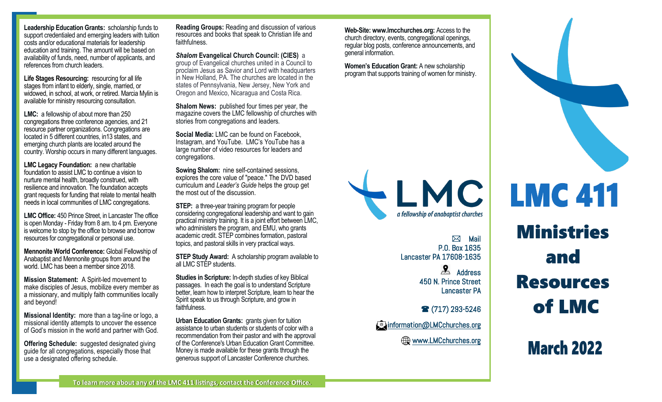**Leadership Education Grants:** scholarship funds to support credentialed and emerging leaders with tuition costs and/or educational materials for leadership education and training. The amount will be based on availability of funds, need, number of applicants, and references from church leaders.

**Life Stages Resourcing:** resourcing for all life stages from infant to elderly, single, married, or widowed, in school, at work, or retired. Marcia Mylin is available for ministry resourcing consultation.

**LMC:** a fellowship of about more than 250 congregations three conference agencies, and 21 resource partner organizations. Congregations are located in 5 different countries, in13 states, and emerging church plants are located around the country. Worship occurs in many different languages.

**LMC Legacy Foundation:** a new charitable foundation to assist LMC to continue a vision to nurture mental health, broadly construed, with resilience and innovation. The foundation accepts grant requests for funding that relate to mental health needs in local communities of LMC congregations.

**LMC Office:** 450 Prince Street, in Lancaster The office is open Monday - Friday from 8 am. to 4 pm. Everyone is welcome to stop by the office to browse and borrow resources for congregational or personal use.

**Mennonite World Conference:** Global Fellowship of Anabaptist and Mennonite groups from around the world. LMC has been a member since 2018.

**Mission Statement:** A Spirit-led movement to make disciples of Jesus, mobilize every member as a missionary, and multiply faith communities locally and beyond!

**Missional Identity:** more than a tag-line or logo, a missional identity attempts to uncover the essence of God's mission in the world and partner with God.

**Offering Schedule:** suggested designated giving guide for all congregations, especially those that use a designated offering schedule.

**Reading Groups:** Reading and discussion of various resources and books that speak to Christian life and faithfulness.

*Shalom* **Evangelical Church Council: (CIES)** a group of Evangelical churches united in a Council to proclaim Jesus as Savior and Lord with headquarters in New Holland, PA. The churches are located in the states of Pennsylvania, New Jersey, New York and Oregon and Mexico, Nicaragua and Costa Rica.

**Shalom News:** published four times per year, the magazine covers the LMC fellowship of churches with stories from congregations and leaders*.*

**Social Media:** LMC can be found on Facebook, Instagram, and YouTube. LMC's YouTube has a large number of video resources for leaders and congregations.

**Sowing Shalom:** nine self-contained sessions, explores the core value of "peace." The DVD based curriculum and *Leader's Guide* helps the group get the most out of the discussion.

**STEP:** a three-year training program for people considering congregational leadership and want to gain practical ministry training. It is a joint effort between LMC, who administers the program, and EMU, who grants academic credit. STEP combines formation, pastoral topics, and pastoral skills in very practical ways.

**STEP Study Award:** A scholarship program available to all LMC STEP students.

**Studies in Scripture:** In-depth studies of key Biblical passages. In each the goal is to understand Scripture better, learn how to interpret Scripture, learn to hear the Spirit speak to us through Scripture, and grow in faithfulness.

**Urban Education Grants:** *grants* given for tuition assistance to urban students or students of color with a recommendation from their pastor and with the approval of the Conference's Urban Education Grant Committee. Money is made available for these grants through the generous support of Lancaster Conference churches.

**Web-Site: www.lmcchurches.org:** Access to the church directory, events, congregational openings, regular blog posts, conference announcements, and general information.

**Women's Education Grant:** A new scholarship program that supports training of women for ministry.



 $\boxtimes$  Mail P.O. Box 1635 Lancaster PA 17608-1635 Address 450 N. Prince Street Lancaster PA

(717) 293-5246

*Chinformation@LMCchurches.org* 

Www.LMCchurches.org



**March 2022**